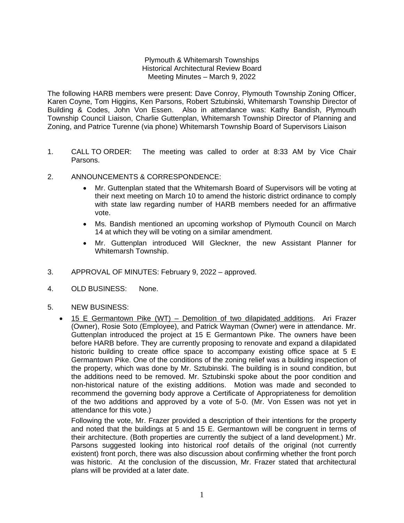## Plymouth & Whitemarsh Townships Historical Architectural Review Board Meeting Minutes – March 9, 2022

The following HARB members were present: Dave Conroy, Plymouth Township Zoning Officer, Karen Coyne, Tom Higgins, Ken Parsons, Robert Sztubinski, Whitemarsh Township Director of Building & Codes, John Von Essen. Also in attendance was: Kathy Bandish, Plymouth Township Council Liaison, Charlie Guttenplan, Whitemarsh Township Director of Planning and Zoning, and Patrice Turenne (via phone) Whitemarsh Township Board of Supervisors Liaison

- 1. CALL TO ORDER: The meeting was called to order at 8:33 AM by Vice Chair Parsons.
- 2. ANNOUNCEMENTS & CORRESPONDENCE:
	- Mr. Guttenplan stated that the Whitemarsh Board of Supervisors will be voting at their next meeting on March 10 to amend the historic district ordinance to comply with state law regarding number of HARB members needed for an affirmative vote.
	- Ms. Bandish mentioned an upcoming workshop of Plymouth Council on March 14 at which they will be voting on a similar amendment.
	- Mr. Guttenplan introduced Will Gleckner, the new Assistant Planner for Whitemarsh Township.
- 3. APPROVAL OF MINUTES: February 9, 2022 approved.
- 4. OLD BUSINESS: None.
- 5. NEW BUSINESS:
	- 15 E Germantown Pike (WT) Demolition of two dilapidated additions. Ari Frazer (Owner), Rosie Soto (Employee), and Patrick Wayman (Owner) were in attendance. Mr. Guttenplan introduced the project at 15 E Germantown Pike. The owners have been before HARB before. They are currently proposing to renovate and expand a dilapidated historic building to create office space to accompany existing office space at 5 E Germantown Pike. One of the conditions of the zoning relief was a building inspection of the property, which was done by Mr. Sztubinski. The building is in sound condition, but the additions need to be removed. Mr. Sztubinski spoke about the poor condition and non-historical nature of the existing additions. Motion was made and seconded to recommend the governing body approve a Certificate of Appropriateness for demolition of the two additions and approved by a vote of 5-0. (Mr. Von Essen was not yet in attendance for this vote.)

Following the vote, Mr. Frazer provided a description of their intentions for the property and noted that the buildings at 5 and 15 E. Germantown will be congruent in terms of their architecture. (Both properties are currently the subject of a land development.) Mr. Parsons suggested looking into historical roof details of the original (not currently existent) front porch, there was also discussion about confirming whether the front porch was historic. At the conclusion of the discussion, Mr. Frazer stated that architectural plans will be provided at a later date.